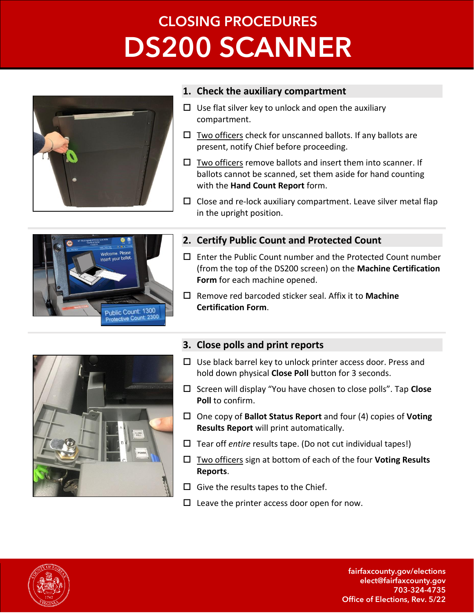# **CLOSING PROCEDURES DS200 SCANNER**



### **1. Check the auxiliary compartment**

- $\Box$  Use flat silver key to unlock and open the auxiliary compartment.
- $\Box$  Two officers check for unscanned ballots. If any ballots are present, notify Chief before proceeding.
- $\square$  Two officers remove ballots and insert them into scanner. If ballots cannot be scanned, set them aside for hand counting with the **Hand Count Report** form.
- $\square$  Close and re-lock auxiliary compartment. Leave silver metal flap in the upright position.



## **2. Certify Public Count and Protected Count**

- $\square$  Enter the Public Count number and the Protected Count number (from the top of the DS200 screen) on the **Machine Certification Form** for each machine opened.
- Remove red barcoded sticker seal. Affix it to **Machine Certification Form**.



# **3. Close polls and print reports**

- $\Box$  Use black barrel key to unlock printer access door. Press and hold down physical **Close Poll** button for 3 seconds.
- Screen will display "You have chosen to close polls". Tap **Close Poll** to confirm.
- One copy of **Ballot Status Report** and four (4) copies of **Voting Results Report** will print automatically.
- □ Tear off *entire* results tape. (Do not cut individual tapes!)
- Two officers sign at bottom of each of the four **Voting Results Reports**.
- $\square$  Give the results tapes to the Chief.
- $\square$  Leave the printer access door open for now.



fairfaxcounty.gov/elections elect@fairfaxcounty.gov 703-324-4735 Office of Elections, Rev. 5/22